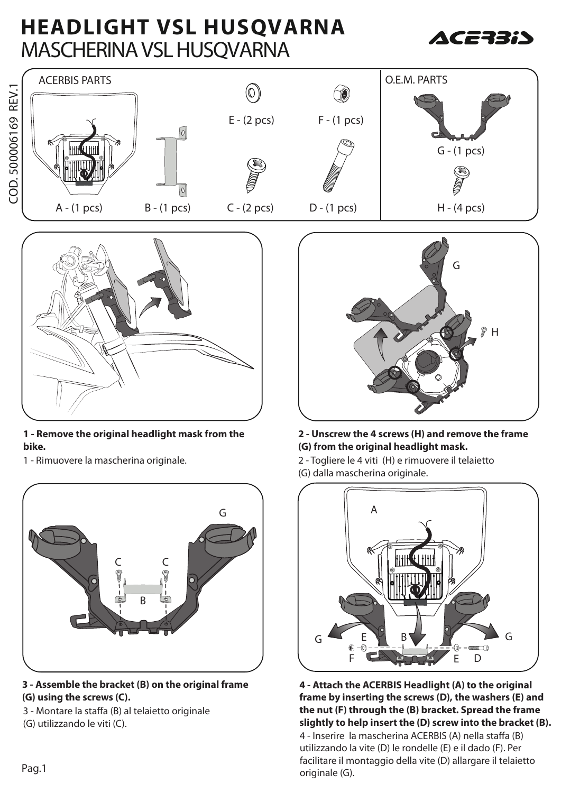# **HEADLIGHT VSL HUSQVARNA** MASCHERINA VSL HUSQVARNA







### **1 - Remove the original headlight mask from the bike.**

1 - Rimuovere la mascherina originale.



### **3 - Assemble the bracket (B) on the original frame (G) using the screws (C).**

3 - Montare la staffa (B) al telaietto originale (G) utilizzando le viti (C).



### **2 - Unscrew the 4 screws (H) and remove the frame (G) from the original headlight mask.**

2 - Togliere le 4 viti (H) e rimuovere il telaietto (G) dalla mascherina originale.



4 - Inserire la mascherina ACERBIS (A) nella staffa (B) utilizzando la vite (D) le rondelle (E) e il dado (F). Per facilitare il montaggio della vite (D) allargare il telaietto Pag.1 communication originale (G). **4 - Attach the ACERBIS Headlight (A) to the original frame by inserting the screws (D), the washers (E) and the nut (F) through the (B) bracket. Spread the frame slightly to help insert the (D) screw into the bracket (B).**